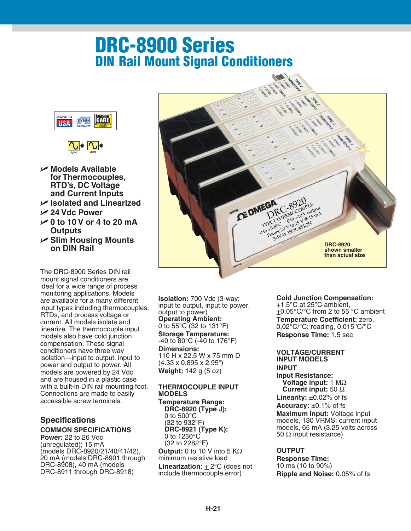# **DRC-8900 Series DIN Rail Mount Signal Conditioners**





- **Models Available for Thermocouples, RTD's, DC Voltage and Current Inputs**
- **Isolated and Linearized**
- **24 Vdc Power**
- **0 to 10 V or 4 to 20 mA Outputs**
- **Slim Housing Mounts on DIN Rail**

The DRC-8900 Series DIN rail mount signal conditioners are ideal for a wide range of process monitoring applications. Models are available for a many different input types including thermocouples, RTDs, and process voltage or current. All models isolate and linearize. The thermocouple input models also have cold junction compensation. These signal conditioners have three way isolation—input to output, input to power and output to power. All models are powered by 24 Vdc and are housed in a plastic case with a built-in DIN rail mounting foot. Connections are made to easily accessible screw terminals.

#### **Specifications COMMON SPECIFICATIONS**

**Power:** 22 to 26 Vdc (unregulated); 15 mA (models DRC-8920/21/40/41/42), 20 mA (models DRC-8901 through DRC-8908), 40 mA (models DRC-8911 through DRC-8918)



**Isolation:** 700 Vdc (3-way; input to output, input to power, output to power) **Operating Ambient:** 0 to 55°C (32 to 131°F) **Storage Temperature:** -40 to 80°C (-40 to 176°F) **Dimensions:** 110 H x 22.5 W x 75 mm D (4.33 x 0.895 x 2.95") **Weight:** 142 g (5 oz)

#### **THERMOCOUPLE INPUT MODELS**

**Temperature Range: DRC-8920 (Type J):** 0 to 500°C (32 to 932°F) **DRC-8921 (Type K):** 0 to 1250°C (32 to 2282°F) **Output:** 0 to 10 V into 5 KΩ minimum resistive load **Linearization:** + 2°C (does not include thermocouple error)

**Cold Junction Compensation:**  $\pm$ 1.5°C at 25°C ambient, +0.05°C/°C from 2 to 55 °C ambient **Temperature Coefficient:** zero, 0.02°C/°C; reading, 0.015°C/°C

**Response Time:** 1.5 sec

### **VOLTAGE/CURRENT**

**INPUT MODELS INPUT Input Resistance: Voltage input:** 1 MΩ **Current input:** 50 Ω **Linearity:**  $\pm 0.02\%$  of fs **Accuracy:** ±0.1% of fs **Maximum Input:** Voltage input models, 130 VRMS; current input models, 65 mA (3.25 volts across 50  $Ω$  input resistance)

### **OUTPUT**

**Response Time:** 10 ms (10 to 90%) **Ripple and Noise:** 0.05% of fs